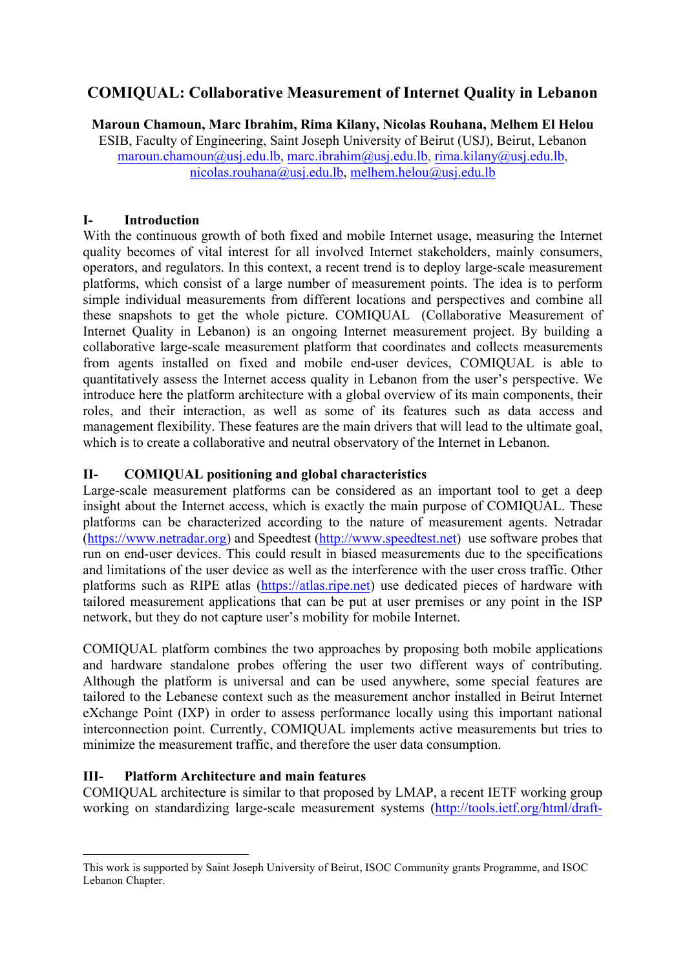# **COMIQUAL: Collaborative Measurement of Internet Quality in Lebanon**

**Maroun Chamoun, Marc Ibrahim, Rima Kilany, Nicolas Rouhana, Melhem El Helou** ESIB, Faculty of Engineering, Saint Joseph University of Beirut (USJ), Beirut, Lebanon maroun.chamoun@usj.edu.lb, marc.ibrahim@usj.edu.lb, rima.kilany@usj.edu.lb, nicolas.rouhana@usj.edu.lb, melhem.helou@usj.edu.lb

## **I- Introduction**

With the continuous growth of both fixed and mobile Internet usage, measuring the Internet quality becomes of vital interest for all involved Internet stakeholders, mainly consumers, operators, and regulators. In this context, a recent trend is to deploy large-scale measurement platforms, which consist of a large number of measurement points. The idea is to perform simple individual measurements from different locations and perspectives and combine all these snapshots to get the whole picture. COMIQUAL (Collaborative Measurement of Internet Quality in Lebanon) is an ongoing Internet measurement project. By building a collaborative large-scale measurement platform that coordinates and collects measurements from agents installed on fixed and mobile end-user devices, COMIQUAL is able to quantitatively assess the Internet access quality in Lebanon from the user's perspective. We introduce here the platform architecture with a global overview of its main components, their roles, and their interaction, as well as some of its features such as data access and management flexibility. These features are the main drivers that will lead to the ultimate goal, which is to create a collaborative and neutral observatory of the Internet in Lebanon.

## **II- COMIQUAL positioning and global characteristics**

Large-scale measurement platforms can be considered as an important tool to get a deep insight about the Internet access, which is exactly the main purpose of COMIQUAL. These platforms can be characterized according to the nature of measurement agents. Netradar (https://www.netradar.org) and Speedtest (http://www.speedtest.net) use software probes that run on end-user devices. This could result in biased measurements due to the specifications and limitations of the user device as well as the interference with the user cross traffic. Other platforms such as RIPE atlas (https://atlas.ripe.net) use dedicated pieces of hardware with tailored measurement applications that can be put at user premises or any point in the ISP network, but they do not capture user's mobility for mobile Internet.

COMIQUAL platform combines the two approaches by proposing both mobile applications and hardware standalone probes offering the user two different ways of contributing. Although the platform is universal and can be used anywhere, some special features are tailored to the Lebanese context such as the measurement anchor installed in Beirut Internet eXchange Point (IXP) in order to assess performance locally using this important national interconnection point. Currently, COMIQUAL implements active measurements but tries to minimize the measurement traffic, and therefore the user data consumption.

## **III- Platform Architecture and main features**

COMIQUAL architecture is similar to that proposed by LMAP, a recent IETF working group working on standardizing large-scale measurement systems (http://tools.ietf.org/html/draft-

This work is supported by Saint Joseph University of Beirut, ISOC Community grants Programme, and ISOC Lebanon Chapter.